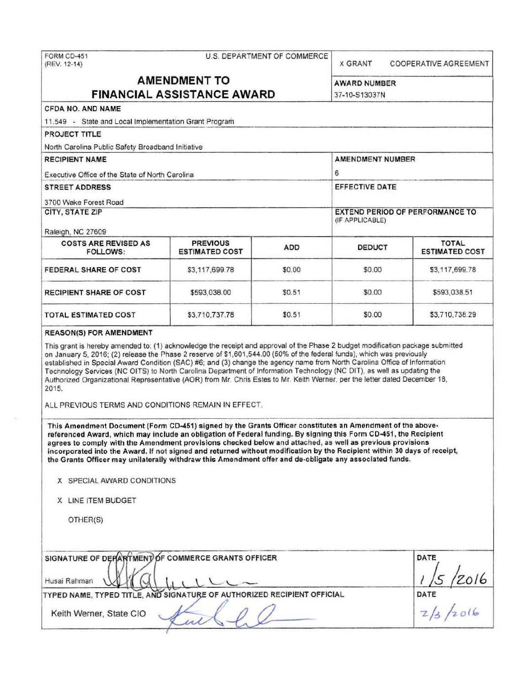| FORM CD-451<br>(REV. 12-14)                                                                                                                                                                                                                                                                                                                                                                                                                                                                                                                                                                                                                       |                                          | U.S. DEPARTMENT OF COMMERCE | <b>X GRANT</b>          |  | <b>COOPERATIVE AGREEMENT</b>                            |
|---------------------------------------------------------------------------------------------------------------------------------------------------------------------------------------------------------------------------------------------------------------------------------------------------------------------------------------------------------------------------------------------------------------------------------------------------------------------------------------------------------------------------------------------------------------------------------------------------------------------------------------------------|------------------------------------------|-----------------------------|-------------------------|--|---------------------------------------------------------|
|                                                                                                                                                                                                                                                                                                                                                                                                                                                                                                                                                                                                                                                   | <b>AMENDMENT TO</b>                      |                             |                         |  |                                                         |
| <b>FINANCIAL ASSISTANCE AWARD</b>                                                                                                                                                                                                                                                                                                                                                                                                                                                                                                                                                                                                                 | <b>AWARD NUMBER</b><br>37-10-S13037N     |                             |                         |  |                                                         |
| <b>CFDA NO. AND NAME</b>                                                                                                                                                                                                                                                                                                                                                                                                                                                                                                                                                                                                                          |                                          |                             |                         |  |                                                         |
| 11.549 - State and Local Implementation Grant Program                                                                                                                                                                                                                                                                                                                                                                                                                                                                                                                                                                                             |                                          |                             |                         |  |                                                         |
| <b>PROJECT TITLE</b>                                                                                                                                                                                                                                                                                                                                                                                                                                                                                                                                                                                                                              |                                          |                             |                         |  |                                                         |
| North Carolina Public Safety Broadband Initiative                                                                                                                                                                                                                                                                                                                                                                                                                                                                                                                                                                                                 |                                          |                             |                         |  |                                                         |
| <b>RECIPIENT NAME</b>                                                                                                                                                                                                                                                                                                                                                                                                                                                                                                                                                                                                                             |                                          |                             | <b>AMENDMENT NUMBER</b> |  |                                                         |
| Executive Office of the State of North Carolina                                                                                                                                                                                                                                                                                                                                                                                                                                                                                                                                                                                                   |                                          |                             | 6                       |  |                                                         |
| <b>STREET ADDRESS</b>                                                                                                                                                                                                                                                                                                                                                                                                                                                                                                                                                                                                                             |                                          |                             | <b>EFFECTIVE DATE</b>   |  |                                                         |
| 3700 Wake Forest Road                                                                                                                                                                                                                                                                                                                                                                                                                                                                                                                                                                                                                             |                                          |                             |                         |  |                                                         |
| <b>CITY, STATE ZIP</b>                                                                                                                                                                                                                                                                                                                                                                                                                                                                                                                                                                                                                            |                                          |                             | (IF APPLICABLE)         |  | <b>EXTEND PERIOD OF PERFORMANCE TO</b>                  |
| Raleigh, NC 27609                                                                                                                                                                                                                                                                                                                                                                                                                                                                                                                                                                                                                                 |                                          |                             |                         |  |                                                         |
| <b>COSTS ARE REVISED AS</b><br><b>FOLLOWS:</b>                                                                                                                                                                                                                                                                                                                                                                                                                                                                                                                                                                                                    | <b>PREVIOUS</b><br><b>ESTIMATED COST</b> | <b>ADD</b>                  | <b>DEDUCT</b>           |  | <b>TOTAL</b><br><b>ESTIMATED COST</b>                   |
| FEDERAL SHARE OF COST                                                                                                                                                                                                                                                                                                                                                                                                                                                                                                                                                                                                                             | \$3,117,699.78                           | \$0.00                      | \$0.00                  |  | \$3,117,699.78                                          |
| <b>RECIPIENT SHARE OF COST</b>                                                                                                                                                                                                                                                                                                                                                                                                                                                                                                                                                                                                                    | \$593,038.00                             | \$0.51                      | \$0.00                  |  | \$593,038.51                                            |
| <b>TOTAL ESTIMATED COST</b>                                                                                                                                                                                                                                                                                                                                                                                                                                                                                                                                                                                                                       | \$3,710,737.78                           | \$0.51                      | \$0.00                  |  | \$3,710,738.29                                          |
| Technology Services (NC OITS) to North Carolina Department of Information Technology (NC DIT), as well as updating the<br>Authorized Organizational Representative (AOR) from Mr. Chris Estes to Mr. Keith Werner, per the letter dated December 18,<br>2015.<br>ALL PREVIOUS TERMS AND CONDITIONS REMAIN IN EFFECT.                                                                                                                                                                                                                                                                                                                              |                                          |                             |                         |  |                                                         |
| This Amendment Document (Form CD-451) signed by the Grants Officer constitutes an Amendment of the above-<br>referenced Award, which may include an obligation of Federal funding. By signing this Form CD-451, the Recipient<br>agrees to comply with the Amendment provisions checked below and attached, as well as previous provisions<br>incorporated into the Award. If not signed and returned without modification by the Recipient within 30 days of receipt,<br>the Grants Officer may unilaterally withdraw this Amendment offer and de-obligate any associated funds.<br>X SPECIAL AWARD CONDITIONS<br>X LINE ITEM BUDGET<br>OTHER(S) |                                          |                             |                         |  |                                                         |
| SIGNATURE OF DEPARTMENT OF COMMERCE GRANTS OFFICER<br>Husai Rahman<br>TYPED NAME, TYPED TITLE, AND SIGNATURE OF AUTHORIZED RECIPIENT OFFICIAL                                                                                                                                                                                                                                                                                                                                                                                                                                                                                                     |                                          |                             |                         |  | DATE<br>$\frac{1/5}{\text{DATE}}$<br>$\frac{7}{3}/2016$ |
| Keith Werner, State CIO                                                                                                                                                                                                                                                                                                                                                                                                                                                                                                                                                                                                                           |                                          |                             |                         |  |                                                         |